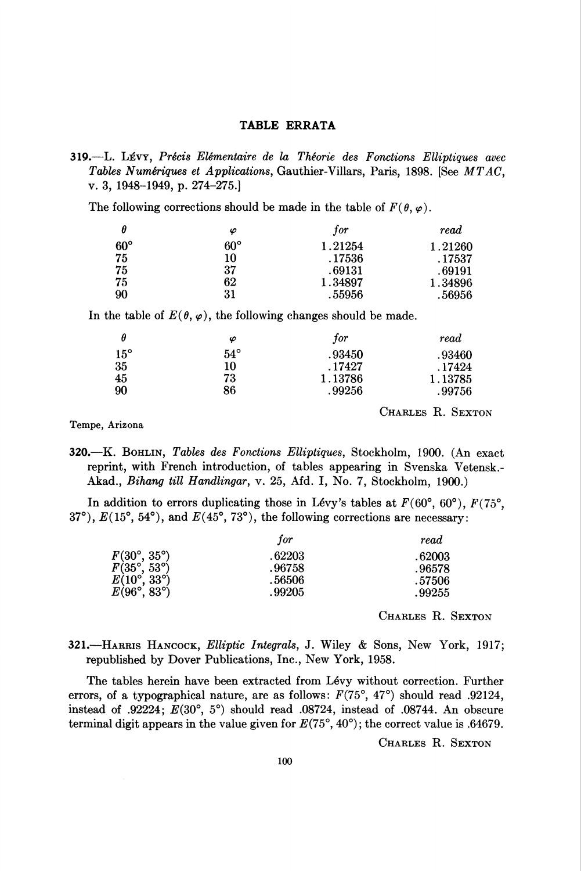## TABLE ERRATA

319.—L. Lévy, Précis Elémentaire de la Théorie des Fonctions Elliptiques avec Tables Numériques et Applications, Gauthier-Villars, Paris, 1898. [See MTAC, v. 3, 1948-1949, p. 274-275.]

The following corrections should be made in the table of  $F(\theta, \varphi)$ .

| θ          | φ          | for     | read    |
|------------|------------|---------|---------|
| $60^\circ$ | $60^\circ$ | 1.21254 | 1.21260 |
| 75         | 10         | .17536  | .17537  |
| 75         | 37         | .69131  | .69191  |
| 75         | 62         | 1.34897 | 1.34896 |
| 90         | 31         | .55956  | .56956  |

In the table of  $E(\theta, \varphi)$ , the following changes should be made.

| θ          | φ            | for     | read    |
|------------|--------------|---------|---------|
| $15^\circ$ | $54^{\circ}$ | .93450  | .93460  |
| 35         | 10           | . 17427 | . 17424 |
| 45         | 73           | 1.13786 | 1.13785 |
| 90         | 86           | .99256  | .99756  |

CHARLES R. SEXTON

Tempe, Arizona

320.—K. Bohlin, Tables des Fonctions Elliptiques, Stockholm, 1900. (An exact reprint, with French introduction, of tables appearing in Svenska Vetensk.- Akad., Bihang till Handlingar, v. 25, Afd. I, No. 7, Stockholm, 1900.)

In addition to errors duplicating those in Lévy's tables at  $F(60^{\circ}, 60^{\circ})$ ,  $F(75^{\circ}, 60^{\circ})$ 37°),  $E(15^{\circ}, 54^{\circ})$ , and  $E(45^{\circ}, 73^{\circ})$ , the following corrections are necessary:

|                             | for    | read   |
|-----------------------------|--------|--------|
| $F(30^{\circ}, 35^{\circ})$ | .62203 | .62003 |
| $F(35^{\circ}, 53^{\circ})$ | .96758 | .96578 |
| $E(10^{\circ}, 33^{\circ})$ | .56506 | .57506 |
| $E(96^{\circ}, 83^{\circ})$ | .99205 | .99255 |
|                             |        |        |

CHARLES R. SEXTON

321.—HARRIS HANCOCK, Elliptic Integrals, J. Wiley & Sons, New York, 1917; republished by Dover Publications, Inc., New York, 1958.

The tables herein have been extracted from Lévy without correction. Further errors, of a typographical nature, are as follows:  $F(75^{\circ}, 47^{\circ})$  should read .92124, instead of .92224;  $E(30^{\circ}, 5^{\circ})$  should read .08724, instead of .08744. An obscure terminal digit appears in the value given for  $E(75^{\circ}, 40^{\circ})$ ; the correct value is .64679.

CHARLES R. SEXTON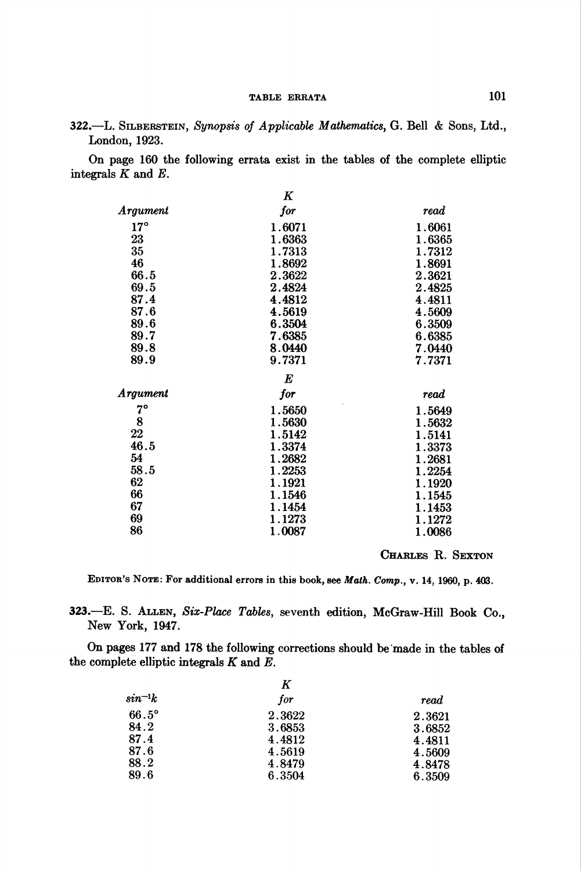322.—L. SILBERSTEIN, Synopsis of Applicable Mathematics, G. Bell & Sons, Ltd., London, 1923.

On page 160 the following errata exist in the tables of the complete elliptic integrals  $K$  and  $E$ .

|              | $\boldsymbol{K}$ |        |  |  |
|--------------|------------------|--------|--|--|
| Argument     | for              | read   |  |  |
| $17^{\circ}$ | 1.6071           | 1.6061 |  |  |
| 23           | 1.6363           | 1.6365 |  |  |
| 35           | 1.7313           | 1.7312 |  |  |
| 46           | 1.8692           | 1.8691 |  |  |
| 66.5         | 2.3622           | 2.3621 |  |  |
| 69.5         | 2.4824           | 2.4825 |  |  |
| 87.4         | 4.4812           | 4.4811 |  |  |
| 87.6         | 4.5619           | 4.5609 |  |  |
| 89.6         | 6.3504           | 6.3509 |  |  |
| 89.7         | 7.6385           | 6.6385 |  |  |
| 89.8         | 8.0440           | 7.0440 |  |  |
| 89.9         | 9.7371           | 7.7371 |  |  |
| $\bm E$      |                  |        |  |  |
| Argument     | for              | read   |  |  |
| $7^{\circ}$  | 1.5650           | 1.5649 |  |  |
| 8            | 1.5630           | 1.5632 |  |  |
| 22           | 1.5142           | 1.5141 |  |  |
| 46.5         | 1.3374           | 1.3373 |  |  |
| 54           | 1.2682           | 1.2681 |  |  |
| 58.5         | 1.2253           | 1.2254 |  |  |
| 62           | 1.1921           | 1.1920 |  |  |
| 66           | 1.1546           | 1.1545 |  |  |
| 67           | 1.1454           | 1.1453 |  |  |
| 69           | 1.1273           | 1.1272 |  |  |
| 86           | 1.0087           | 1.0086 |  |  |

CHARLES R. SEXTON

EDITOR'S NOTE: For additional errors in this book, see Math. Comp., v. 14, 1960, p. 403.

323.—E. S. Allen, Six-Place Tables, seventh edition, McGraw-Hill Book Co., New York, 1947.

On pages 177 and 178 the following corrections should be made in the tables of the complete elliptic integrals  $K$  and  $E$ .

|              | Κ      |        |
|--------------|--------|--------|
| $sin^{-1}k$  | for    | read   |
| $66.5^\circ$ | 2.3622 | 2.3621 |
| 84.2         | 3.6853 | 3.6852 |
| 87.4         | 4.4812 | 4.4811 |
| 87.6         | 4.5619 | 4.5609 |
| 88.2         | 4.8479 | 4.8478 |
| 89.6         | 6.3504 | 6.3509 |
|              |        |        |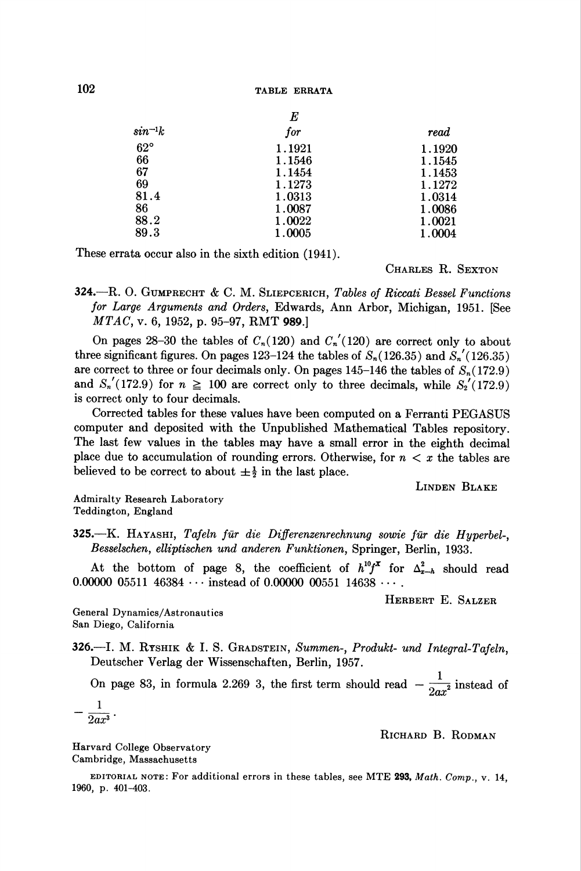|              | E      |        |
|--------------|--------|--------|
| $sin^{-1}k$  | for    | read   |
| $62^{\circ}$ | 1.1921 | 1.1920 |
| 66           | 1.1546 | 1.1545 |
| 67           | 1.1454 | 1.1453 |
| 69           | 1.1273 | 1.1272 |
| 81.4         | 1.0313 | 1.0314 |
| 86           | 1.0087 | 1.0086 |
| 88.2         | 1.0022 | 1.0021 |
| 89.3         | 1.0005 | 1.0004 |

These errata occur also in the sixth edition (1941).

CHARLES R. SEXTON

324.—R. O. GUMPRECHT & C. M. SLIEPCERICH, Tables of Riccati Bessel Functions for Large Arguments and Orders, Edwards, Ann Arbor, Michigan, 1951. [See MTAC, v. 6, 1952, p. 95-97, RMT 989.]

On pages 28-30 the tables of  $C_n(120)$  and  $C'_n(120)$  are correct only to about three significant figures. On pages 123-124 the tables of  $S_n(126.35)$  and  $S'_n(126.35)$ are correct to three or four decimals only. On pages 145-146 the tables of  $S_n(172.9)$ and  $S'_n(172.9)$  for  $n \ge 100$  are correct only to three decimals, while  $S'_2(172.9)$ is correct only to four decimals.

Corrected tables for these values have been computed on a Ferranti PEGASUS computer and deposited with the Unpublished Mathematical Tables repository. The last few values in the tables may have a small error in the eighth decimal place due to accumulation of rounding errors. Otherwise, for  $n < x$  the tables are believed to be correct to about  $\pm \frac{1}{2}$  in the last place.

Linden Blake

Admiralty Research Laboratory Teddington, England

325.—K. Hayashi, Tafeln für die Differenzenrechnung sowie für die Hyperbel-, Besselschen, elliptischen und anderen Funktionen, Springer, Berlin, 1933.

At the bottom of page 8, the coefficient of  $h^{10}f^{\mathbf{x}}$  for  $\Delta_{\mathbf{z}-h}^2$  should read 0.00000 05511 46384  $\cdots$  instead of 0.00000 00551 14638  $\cdots$ .

Herbert E. Salzer

General Dynamics/Astronautics San Diego, California

326.—I. M. RYSHIK & I. S. GRADSTEIN, Summen-, Produkt- und Integral-Tafeln, Deutscher Verlag der Wissenschaften, Berlin, 1957.

On page 83, in formula 2.269 3, the first term should read  $-\frac{1}{2ax^2}$  instead of

$$
-\frac{1}{2ax^3}
$$

RICHARD B. RODMAN

Harvard College Observatory Cambridge, Massachusetts

EDITORIAL NOTE: For additional errors in these tables, see MTE 293, Math. Comp., v. 14, 1960, p. 401-403.